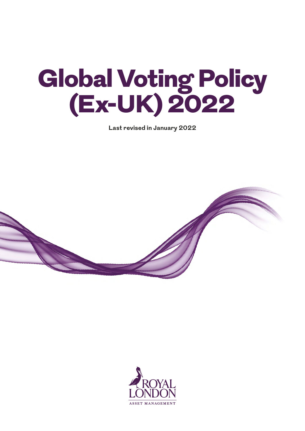# Global Voting Policy (Ex-UK) 2022

**Last revised in January 2022**



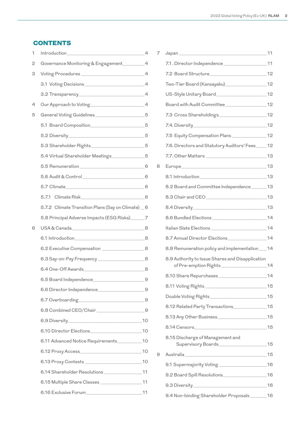# **CONTENTS**

| 1 | <b>Introduction</b>                                                                                                                                                                                                                                                                            | $\overline{4}$ |
|---|------------------------------------------------------------------------------------------------------------------------------------------------------------------------------------------------------------------------------------------------------------------------------------------------|----------------|
| 2 | Governance Monitoring & Engagement_________4                                                                                                                                                                                                                                                   |                |
| 3 |                                                                                                                                                                                                                                                                                                |                |
|   |                                                                                                                                                                                                                                                                                                |                |
|   |                                                                                                                                                                                                                                                                                                |                |
| 4 |                                                                                                                                                                                                                                                                                                |                |
| 5 | General Voting Guidelines ____________________5                                                                                                                                                                                                                                                |                |
|   | 5.1 Board Composition_________________________5                                                                                                                                                                                                                                                |                |
|   |                                                                                                                                                                                                                                                                                                |                |
|   | 5.3 Shareholder Rights ________________________5                                                                                                                                                                                                                                               |                |
|   | 5.4 Virtual Shareholder Meetings ____________5                                                                                                                                                                                                                                                 |                |
|   | 5.5 Remuneration 6                                                                                                                                                                                                                                                                             |                |
|   | 5.6 Audit & Control 6                                                                                                                                                                                                                                                                          |                |
|   |                                                                                                                                                                                                                                                                                                |                |
|   | 5.7.1 Climate Risk 6.7.1 Climate Risk                                                                                                                                                                                                                                                          |                |
|   | 5.7.2 Climate Transition Plans (Say on Climate) 6                                                                                                                                                                                                                                              |                |
|   | 5.8 Principal Adverse Impacts (ESG Risks)_____7                                                                                                                                                                                                                                                |                |
| 6 |                                                                                                                                                                                                                                                                                                |                |
|   |                                                                                                                                                                                                                                                                                                |                |
|   | 6.2 Executive Compensation ____________________8                                                                                                                                                                                                                                               |                |
|   | 6.3 Say-on-Pay Frequency _____________________8                                                                                                                                                                                                                                                |                |
|   |                                                                                                                                                                                                                                                                                                |                |
|   | 6.5 Board Independence_<br>$\sim$ 0.000 $\sim$ 0.000 $\sim$ 0.000 $\sim$ 0.000 $\sim$ 0.000 $\sim$ 0.000 $\sim$ 0.000 $\sim$ 0.000 $\sim$ 0.000 $\sim$ 0.000 $\sim$ 0.000 $\sim$ 0.000 $\sim$ 0.000 $\sim$ 0.000 $\sim$ 0.000 $\sim$ 0.000 $\sim$ 0.000 $\sim$ 0.000 $\sim$ 0.000 $\sim$ 0.000 |                |
|   |                                                                                                                                                                                                                                                                                                |                |
|   |                                                                                                                                                                                                                                                                                                |                |
|   | 6.8 Combined CEO/Chair _______________________________9                                                                                                                                                                                                                                        |                |
|   |                                                                                                                                                                                                                                                                                                |                |
|   |                                                                                                                                                                                                                                                                                                |                |
|   | 6.11 Advanced Notice Requirements___________10                                                                                                                                                                                                                                                 |                |
|   |                                                                                                                                                                                                                                                                                                |                |
|   |                                                                                                                                                                                                                                                                                                |                |
|   | 6.14 Shareholder Resolutions ________________________11                                                                                                                                                                                                                                        |                |
|   |                                                                                                                                                                                                                                                                                                |                |
|   |                                                                                                                                                                                                                                                                                                |                |
|   |                                                                                                                                                                                                                                                                                                |                |

| 7 |                                                              |  |
|---|--------------------------------------------------------------|--|
|   |                                                              |  |
|   |                                                              |  |
|   | Two-Tier Board (Kansayaku)____________________12             |  |
|   |                                                              |  |
|   |                                                              |  |
|   |                                                              |  |
|   |                                                              |  |
|   | 7.5 Equity Compensation Plans _______________________12      |  |
|   | 7.6. Directors and Statutory Auditors' Fees ____ 12          |  |
|   |                                                              |  |
| 8 |                                                              |  |
|   |                                                              |  |
|   | 8.2 Board and Committee Independence_______13                |  |
|   |                                                              |  |
|   |                                                              |  |
|   |                                                              |  |
|   |                                                              |  |
|   | 8.7 Annual Director Elections ________________________14     |  |
|   | 8.8 Remuneration policy and implementation ___ 14            |  |
|   | 8.9 Authority to Issue Shares and Disapplication             |  |
|   |                                                              |  |
|   |                                                              |  |
|   |                                                              |  |
|   | 8.12 Related Party Transactions_______________15             |  |
|   |                                                              |  |
|   | 8.14 Censors 15                                              |  |
|   | 8.15 Discharge of Management and<br>Supervisory Boards<br>15 |  |
| 9 |                                                              |  |
|   | 9.1 Supermajority Voting ______________________16            |  |
|   | 9.2 Board Spill Resolutions 16                               |  |
|   |                                                              |  |
|   | 9.4 Non-binding Shareholder Proposals _______ 16             |  |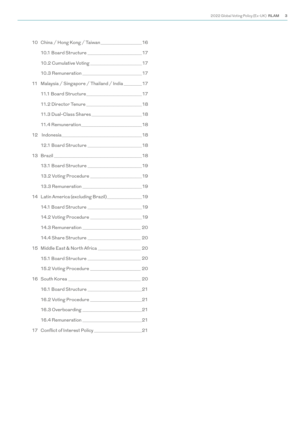|    | 10.1 Board Structure _________________________________17    |      |
|----|-------------------------------------------------------------|------|
|    | 10.2 Cumulative Voting _______________________________17    |      |
|    |                                                             |      |
| 11 | Malaysia / Singapore / Thailand / India ________17          |      |
|    | 11.1 Board Structure 17                                     |      |
|    |                                                             |      |
|    | 11.3 Dual-Class Shares _______________________________18    |      |
|    |                                                             |      |
|    |                                                             |      |
|    | 12.1 Board Structure _________________________________18    |      |
|    |                                                             |      |
|    |                                                             |      |
|    |                                                             |      |
|    |                                                             |      |
|    | 14 Latin America (excluding Brazil)________________19       |      |
|    |                                                             |      |
|    |                                                             |      |
|    |                                                             |      |
|    |                                                             |      |
|    |                                                             |      |
|    |                                                             |      |
|    | 15.2 Voting Procedure<br>$\sim$ 20                          |      |
|    | 16 South Korea <b>San American Students and South Korea</b> | - 20 |
|    |                                                             | 21   |
|    |                                                             | 21   |
|    |                                                             |      |
|    |                                                             | 21   |
|    | 17 Conflict of Interest Policy_________                     | 21   |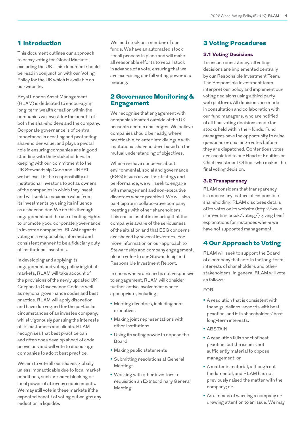# 1 Introduction

This document outlines our approach to proxy voting for Global Markets, excluding the UK. This document should be read in conjunction with our Voting Policy for the UK which is available on our website.

Royal London Asset Management (RLAM) is dedicated to encouraging long-term wealth creation within the companies we invest for the benefit of both the shareholders and the company. Corporate governance is of central importance in creating and protecting shareholder value, and plays a pivotal role in ensuring companies are in good standing with their stakeholders. In keeping with our commitment to the UK Stewardship Code and UNPRI, we believe it is the responsibility of institutional investors to act as owners of the companies in which they invest and will seek to maximise value from its investments by using its influence as a shareholder. We do this through engagement and the use of voting rights to promote good corporate governance in investee companies. RLAM regards voting in a responsible, informed and consistent manner to be a fiduciary duty of institutional investors.

In developing and applying its engagement and voting policy in global markets, RLAM will take account of the provisions of the newly updated UK Corporate Governance Code as well as regional governance codes and best practice. RLAM will apply discretion and have due regard for the particular circumstances of an investee company, whilst vigorously pursuing the interests of its customers and clients. RLAM recognises that best practice can and often does develop ahead of code provisions and will vote to encourage companies to adopt best practice.

We aim to vote all our shares globally unless impracticable due to local market conditions, such as share blocking or local power of attorney requirements. We may still vote in these markets if the expected benefit of voting outweighs any reduction in liquidity.

We lend stock on a number of our funds. We have an automated stock recall process in place and will make all reasonable efforts to recall stock in advance of a vote, ensuring that we are exercising our full voting power at a meeting.

# 2 Governance Monitoring & Engagement

We recognise that engagement with companies located outside of the UK presents certain challenges. We believe companies should be ready, where practicable, to enter into dialogue with institutional shareholders based on the mutual understanding of objectives.

Where we have concerns about environmental, social and governance (ESG) issues as well as strategy and performance, we will seek to engage with management and non-executive directors where practical. We will also participate in collaborative company meetings with other shareholders. This can be useful in ensuring that the company is aware of the seriousness of the situation and that ESG concerns are shared by several investors. For more information on our approach to Stewardship and company engagement, please refer to our Stewardship and Responsible Investment Report.

In cases where a Board is not responsive to engagement, RLAM will consider further active involvement where appropriate, including:

- **•** Meeting directors, including nonexecutives
- **•** Making joint representations with other institutions
- **•** Using its voting power to oppose the Board
- **•** Making public statements
- **•** Submitting resolutions at General Meetings
- **•** Working with other investors to requisition an Extraordinary General Meeting.

# 3 Voting Procedures

## 3.1 Voting Decisions

To ensure consistency, all voting decisions are implemented centrally by our Responsible Investment Team. The Responsible Investment team interpret our policy and implement our voting decisions using a third party web platform. All decisions are made in consultation and collaboration with our fund managers, who are notified of all final voting decisions made for stocks held within their funds. Fund managers have the opportunity to raise questions or challenge votes before they are dispatched. Contentious votes are escalated to our Head of Equities or Chief Investment Officer who makes the final voting decision.

## 3.2 Transparency

RLAM considers that transparency is a necessary feature of responsible shareholding. RLAM discloses details of its votes on its website (http://www. rlam-voting.co.uk/voting/) giving brief explanations for instances where we have not supported management.

# 4 Our Approach to Voting

RLAM will seek to support the Board of a company that acts in the long-term interests of shareholders and other stakeholders. In general RLAM will vote as follows:

## FOR

- **•** A resolution that is consistent with these guidelines, accords with best practice, and is in shareholders' best long-term interests.
- **•** ABSTAIN
- **•** A resolution falls short of best practice, but the issue is not sufficiently material to oppose management; or
- **•** A matter is material, although not fundamental, and RLAM has not previously raised the matter with the company; or
- **•** As a means of warning a company or drawing attention to an issue. We may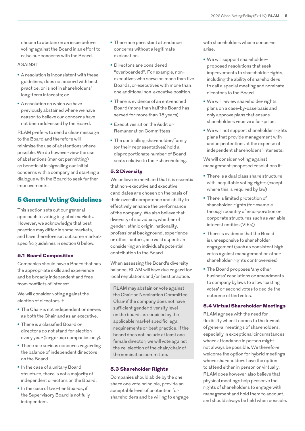choose to abstain on an issue before voting against the Board in an effort to raise our concerns with the Board.

#### AGAINST

- **•** A resolution is inconsistent with these guidelines, does not accord with best practice, or is not in shareholders' long-term interests; or
- **•** A resolution on which we have previously abstained where we have reason to believe our concerns have not been addressed by the Board.

RLAM prefers to send a clear message to the Board and therefore will minimise the use of abstentions where possible. We do however view the use of abstentions (market permitting) as beneficial in signalling our initial concerns with a company and starting a dialogue with the Board to seek further improvements.

## 5 General Voting Guidelines

This section sets out our general approach to voting in global markets. However, we acknowledge that best practice may differ in some markets, and have therefore set out some marketspecific guidelines in section 6 below.

#### 5.1 Board Composition

Companies should have a Board that has the appropriate skills and experience and be broadly independent and free from conflicts of interest.

We will consider voting against the election of directors if:

- **•** The Chair is not independent or serves as both the Chair and as an executive.
- **•** There is a classified Board or directors do not stand for election every year (large-cap companies only).
- **•** There are serious concerns regarding the balance of independent directors on the Board.
- **•** In the case of a unitary Board structure, there is not a majority of independent directors on the Board.
- **•** In the case of two-tier Boards, if the Supervisory Board is not fully independent.
- **•** There are persistent attendance concerns without a legitimate explanation.
- **•** Directors are considered "overboarded". For example, nonexecutives who serve on more than five Boards, or executives with more than one additional non-executive position.
- **•** There is evidence of an entrenched Board (more than half the Board has served for more than 15 years).
- **•** Executives sit on the Audit or Remuneration Committees.
- **•** The controlling shareholder/family (or their representatives) hold a disproportionate number of Board seats relative to their shareholding.

## 5.2 Diversity

We believe in merit and that it is essential that non-executive and executive candidates are chosen on the basis of their overall competence and ability to effectively enhance the performance of the company. We also believe that diversity of individuals, whether of gender, ethnic origin, nationality, professional background, experience or other factors, are valid aspects in considering an individual's potential contribution to the Board.

When assessing the Board's diversity balance, RLAM will have due regard for local regulations and/or best practice.

RLAM may abstain or vote against the Chair or Nomination Committee Chair if the company does not have sufficient gender diversity level on the board, as required by the applicable market specific legal requirements or best practice. If the board does not include at least one female director, we will vote against the re-election of the chair/chair of the nomination committee.

#### 5.3 Shareholder Rights

Companies should abide by the one share one vote principle, provide an acceptable level of protection for shareholders and be willing to engage with shareholders where concerns arise.

- **•** We will support shareholderproposed resolutions that seek improvements to shareholder rights, including the ability of shareholders to call a special meeting and nominate directors to the Board.
- **•** We will review shareholder rights plans on a case-by-case basis and only approve plans that ensure shareholders receive a fair price.
- **•** We will not support shareholder rights plans that provide management with undue protections at the expense of independent shareholders' interests.

We will consider voting against management-proposed resolutions if:

- **•** There is a dual class share structure with inequitable voting rights (except where this is required by law)
- **•** There is limited protection of shareholder rights (for example through country of incorporation or corporate structures such as variable interest entities (VIEs))
- **•** There is evidence that the Board is unresponsive to shareholder engagement (such as consistent high votes against management or other shareholder rights controversies)
- **•** The Board proposes 'any other business' resolutions or amendments to company bylaws to allow 'casting votes' or second votes to decide the outcome of tied votes.

#### 5.4 Virtual Shareholder Meetings

RLAM agrees with the need for flexibility when it comes to the format of general meetings of shareholders, especially in exceptional circumstances where attendance in person might not always be possible. We therefore welcome the option for hybrid meetings where shareholders have the option to attend either in person or virtually. RLAM does however also believe that physical meetings help preserve the rights of shareholders to engage with management and hold them to account, and should always be held when possible.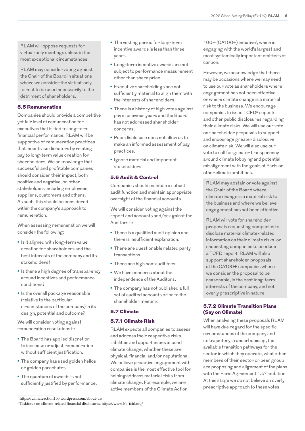RLAM will oppose requests for virtual-only meetings unless in the most exceptional circumstances.

RLAM may consider voting against the Chair of the Board in situations where we consider the virtual-only format to be used necessarily to the detriment of shareholders.

## 5.5 Remuneration

Companies should provide a competitive yet fair level of remuneration for executives that is tied to long-term financial performance. RLAM will be supportive of remuneration practices that incentivise directors by relating pay to long-term value creation for shareholders. We acknowledge that successful and profitable companies should consider their impact, both positive and negative, on other stakeholders including employees, suppliers, customers and others. As such, this should be considered within the company's approach to remuneration.

When assessing remuneration we will consider the following:

- **•** Is it aligned with long-term value creation for shareholders and the best interests of the company and its stakeholders?
- **•** Is there a high degree of transparency around incentives and performance conditions?
- **•** Is the overall package reasonable (relative to the particular circumstances of the company) in its design, potential and outcome?

We will consider voting against remuneration resolutions if:

- **•** The Board has applied discretion to increase or adjust remuneration without sufficient justification.
- **•** The company has used golden hellos or golden parachutes.
- **•** The quantum of awards is not sufficiently justified by performance.
- **•** The vesting period for long-term incentive awards is less than three years.
- **•** Long-term incentive awards are not subject to performance measurement other than share price.
- **•** Executive shareholdings are not sufficiently material to align them with the interests of shareholders.
- **•** There is a history of high votes against pay in previous years and the Board has not addressed shareholder concerns.
- **•** Poor disclosure does not allow us to make an informed assessment of pay practices.
- **•** Ignore material and important stakeholders

## 5.6 Audit & Control

Companies should maintain a robust audit function and maintain appropriate oversight of the financial accounts.

We will consider voting against the report and accounts and/or against the Auditors if:

- **•** There is a qualified audit opinion and there is insufficient explanation.
- **•** There are questionable related party transactions.
- **•** There are high non-audit fees.
- **•** We have concerns about the independence of the Auditors.
- **•** The company has not published a full set of audited accounts prior to the shareholder meeting.

## 5.7 Climate

## 5.7.1 Climate Risk

RLAM expects all companies to assess and address their respective risks, liabilities and opportunities around climate change, whether these are physical, financial and/or reputational. We believe proactive engagement with companies is the most effective tool for helping address material risks from climate change. For example, we are active members of the Climate Action

100+ (CA100+) initiative1, which is engaging with the world's largest and most systemically important emitters of carbon.

However, we acknowledge that there may be occasions where we may need to use our vote as shareholders where engagement has not been effective or where climate change is a material risk to the business. We encourage companies to issue TCFD2 reports and other public disclosures regarding their climate risks. We will use our vote on shareholder proposals to support and encourage greater disclosure on climate risk. We will also use our vote to call for greater transparency around climate lobbying and potential misalignment with the goals of Paris or other climate ambitions.

RLAM may abstain or vote against the Chair of the Board where climate change is a material risk to the business and where we believe engagement has not been effective.

RLAM will vote for shareholder proposals requesting companies to disclose material climate-related information on their climate risks, or requesting companies to produce a TCFD report. RLAM will also support shareholder proposals at the CA100+ companies where we consider the proposal to be reasonable, in the best long-term interests of the company, and not overly prescriptive in nature.

## 5.7.2 Climate Transition Plans (Say on Climate)

When analysing these proposals RLAM will have due regard for the specific circumstances of the company and its trajectory in decarbonising, the available transition pathways for the sector in which they operate, what other members of their sector or peer group are proposing and alignment of the plans with the Paris Agreement 1.5° ambition. At this stage we do not believe an overly prescriptive approach to these votes

<sup>1</sup> https://climateaction100.wordpress.com/about-us/

<sup>2</sup> Taskforce on climate-related financial disclosures. https://www.fsb-tcfd.org/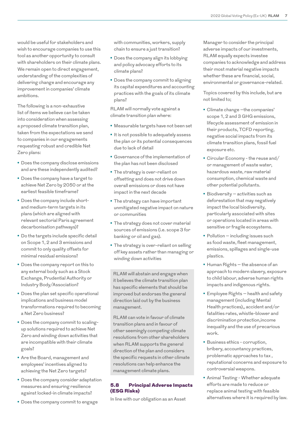would be useful for stakeholders and wish to encourage companies to use this tool as another opportunity to consult with shareholders on their climate plans. We remain open to direct engagement, understanding of the complexities of delivering change and encourage any improvement in companies' climate ambitions.

The following is a non-exhaustive list of items we believe can be taken into consideration when assessing a proposed climate transition plan, taken from the expectations we send to companies in our engagements requesting robust and credible Net Zero plans:

- **•** Does the company disclose emissions and are these independently audited?
- **•** Does the company have a target to achieve Net Zero by 2050 or at the earliest feasible timeframe?
- **•** Does the company include shortand medium-term targets in its plans (which are aligned with relevant sectorial Paris agreement decarbonisation pathways)?
- **•** Do the targets include specific detail on Scope 1, 2 and 3 emissions and commit to only quality offsets for minimal residual emissions?
- **•** Does the company report on this to any external body such as a Stock Exchange, Prudential Authority or Industry Body/Association?
- **•** Does the plan set specific operational implications and business model transformations required to becoming a Net Zero business?
- **•** Does the company commit to scalingup solutions required to achieve Net Zero and winding down activities that are incompatible with their climate goals?
- **•** Are the Board, management and employees' incentives aligned to achieving the Net Zero targets?
- **•** Does the company consider adaptation measures and ensuring resilience against locked-in climate impacts?
- **•** Does the company commit to engage

with communities, workers, supply chain to ensure a just transition?

- **•** Does the company align its lobbying and policy advocacy efforts to its climate plans?
- **•** Does the company commit to aligning its capital expenditures and accounting practices with the goals of its climate plans?

RLAM will normally vote against a climate transition plan where:

- **•** Measurable targets have not been set
- **•** It is not possible to adequately assess the plan or its potential consequences due to lack of detail
- **•** Governance of the implementation of the plan has not been disclosed
- **•** The strategy is over-reliant on offsetting and does not drive down overall emissions or does not have impact in the next decade
- **•** The strategy can have important unmitigated negative impact on nature or communities
- **•** The strategy does not cover material sources of emissions (i.e. scope 3 for banking or oil and gas).
- **•** The strategy is over-reliant on selling off key assets rather than managing or winding down activities

RLAM will abstain and engage when it believes the climate transition plan has specific elements that should be improved but endorses the general direction laid out by the business management.

RLAM can vote in favour of climate transition plans and in favour of other seemingly competing climate resolutions from other shareholders when RLAM supports the general direction of the plan and considers the specific requests in other climate resolutions can help enhance the management climate plans.

## 5.8 Principal Adverse Impacts (ESG Risks)

In line with our obligation as an Asset

Manager to consider the principal adverse impacts of our investments, RLAM equally expects investee companies to acknowledge and address their most material negative impacts whether these are financial, social, environmental or governance-related.

Topics covered by this include, but are not limited to;

- **•** Climate change –the companies' scope 1, 2 and 3 GHG emissions, lifecycle assessment of emission in their products, TCFD reporting, negative social impacts from its climate transition plans, fossil fuel exposure etc.
- **•** Circular Economy the reuse and/ or management of waste water, hazardous waste, raw material consumption, chemical waste and other potential pollutants.
- **•** Biodiversity activities such as deforestation that may negatively impact the local biodiversity, particularly associated with sites or operations located in areas with sensitive or fragile ecosystems.
- **•** Pollution including issues such as food waste, fleet management, emissions, spillages and single-use plastics.
- **•** Human Rights the absence of an approach to modern slavery, exposure to child labour, adverse human rights impacts and indigenous rights.
- **•** Employee Rights health and safety management (including Mental Health practices),, accident and/or fatalities rates, whistle-blower and discrimination protection,income inequality and the use of precarious work.
- **•** Business ethics corruption, bribery, accountancy practices, problematic approaches to tax , reputational concerns and exposure to controversial weapons.
- **•** Animal Testing Whether adequate efforts are made to reduce or replace animal testing with feasible alternatives where it is required by law.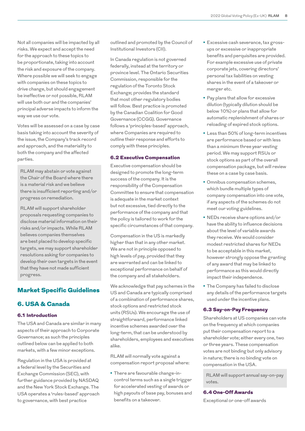Not all companies will be impacted by all risks. We expect and accept the need for the approach to these topics to be proportionate, taking into account the risk and exposure of the company. Where possible we will seek to engage with companies on these topics to drive change, but should engagement be ineffective or not possible, RLAM will use both our and the companies' principal adverse impacts to inform the way we use our vote.

Votes will be assessed on a case by case basis taking into account the severity of the issue, the Company's track record and approach, and the materiality to both the company and the affected parties.

RLAM may abstain or vote against the Chair of the Board where there is a material risk and we believe there is insufficient reporting and/or progress on remediation.

RLAM will support shareholder proposals requesting companies to disclose material information on their risks and/or impacts. While RLAM believes companies themselves are best placed to develop specific targets, we may support shareholder resolutions asking for companies to develop their own targets in the event that they have not made sufficient progress.

# Market Specific Guidelines

## 6. USA & Canada

#### 6.1 Introduction

The USA and Canada are similar in many aspects of their approach to Corporate Governance; as such the principles outlined below can be applied to both markets, with a few minor exceptions.

Regulation in the USA is provided at a federal level by the Securities and Exchange Commission (SEC), with further guidance provided by NASDAQ and the New York Stock Exchange. The USA operates a 'rules-based' approach to governance, with best practice

outlined and promoted by the Council of Institutional Investors (CII).

In Canada regulation is not governed federally, instead at the territory or province level. The Ontario Securities Commission, responsible for the regulation of the Toronto Stock Exchange; provides the standard that most other regulatory bodies will follow. Best practice is promoted by the Canadian Coalition for Good Governance (CCGG). Governance follows a 'principles-based' approach, where Companies are required to outline their response and efforts to comply with these principles.

#### 6.2 Executive Compensation

Executive compensation should be designed to promote the long-term success of the company. It is the responsibility of the Compensation Committee to ensure that compensation is adequate in the market context but not excessive, tied directly to the performance of the company and that the policy is tailored to work for the specific circumstances of that company.

Compensation in the US is markedly higher than that in any other market. We are not in principle opposed to high levels of pay, provided that they are warranted and can be linked to exceptional performance on behalf of the company and all stakeholders.

We acknowledge that pay schemes in the US and Canada are typically comprised of a combination of performance shares, stock options and restricted stock units (RSUs). We encourage the use of straightforward, performance linked incentive schemes awarded over the long-term, that can be understood by shareholders, employees and executives alike.

RLAM will normally vote against a compensation report proposal where:

**•** There are favourable change-incontrol terms such as a single trigger for accelerated vesting of awards or high payouts of base pay, bonuses and benefits on a takeover.

- **•** Excessive cash severance, tax grossups or excessive or inappropriate benefits and perquisites are provided. For example excessive use of private corporate jets, covering directors' personal tax liabilities on vesting shares in the event of a takeover or merger etc.
- **•** Pay plans that allow for excessive dilution (typically dilution should be below 10%) or plans that allow for automatic replenishment of shares or reloading of expired stock options.
- **•** Less than 50% of long-term incentives are performance based or with less than a minimum three year vesting period. We may support RSUs or stock options as part of the overall compensation package, but will review these on a case by case basis.
- **•** Omnibus compensation schemes, which bundle multiple types of company compensation into one vote, if any aspects of the schemes do not meet our voting guidelines.
- **•** NEDs receive share options and/or have the ability to influence decisions about the level of variable awards they receive. We would consider modest restricted shares for NEDs to be acceptable in this market, however strongly oppose the granting of any award that may be linked to performance as this would directly impact their independence.
- **•** The Company has failed to disclose any details of the performance targets used under the incentive plans.

#### 6.3 Say-on-Pay Frequency

Shareholders at US companies can vote on the frequency at which companies put their compensation report to a shareholder vote; either every one, two or three years. These compensation votes are not binding but only advisory in nature; there is no binding vote on compensation in the USA.

RLAM will support annual say-on-pay votes.

### 6.4 One-Off Awards

Exceptional or one-off awards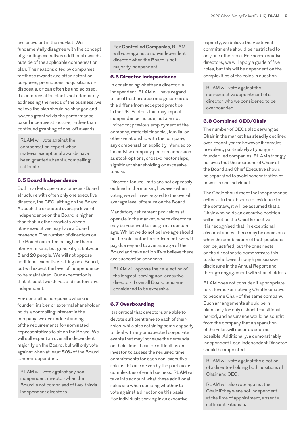are prevalent in the market. We fundamentally disagree with the concept of granting executives additional awards outside of the applicable compensation plan. The reasons cited by companies for these awards are often retention purposes, promotions, acquisitions or disposals, or can often be undisclosed. If a compensation plan is not adequately addressing the needs of the business, we believe the plan should be changed and awards granted via the performance based incentive structure, rather than continued granting of one-off awards.

RLAM will vote against the compensation report when material exceptional awards have been granted absent a compelling rationale.

#### 6.5 Board Independence

Both markets operate a one-tier Board structure with often only one executive director, the CEO; sitting on the Board. As such the expected average level of independence on the Board is higher than that in other markets where other executives may have a Board presence. The number of directors on the Board can often be higher than in other markets, but generally is between 5 and 20 people. We will not oppose additional executives sitting on a Board, but will expect the level of independence to be maintained. Our expectation is that at least two-thirds of directors are independent.

For controlled companies where a founder, insider or external shareholder holds a controlling interest in the company; we are understanding of the requirements for nominated representatives to sit on the Board. We will still expect an overall independent majority on the Board, but will only vote against when at least 50% of the Board is non-independent.

RLAM will vote against any nonindependent director when the Board is not comprised of two-thirds independent directors.

For **Controlled Companies**, RLAM will vote against a non-independent director when the Board is not majority independent.

#### 6.6 Director Independence

In considering whether a director is independent, RLAM will have regard to local best practice and guidance as this differs from accepted practice in the UK. Factors that may impact independence include, but are not limited to; previous employment at the company, material financial, familial or other relationship with the company, any compensation explicitly intended to incentivise company performance such as stock options, cross-directorships, significant shareholding or excessive tenure.

Director tenure limits are not expressly outlined in the market, however when voting we will have regard to the overall average level of tenure on the Board.

Mandatory retirement provisions still operate in the market, where directors may be required to resign at a certain age. Whilst we do not believe age should be the sole factor for retirement, we will pay due regard to average age of the Board and take action if we believe there are succession concerns.

RLAM will oppose the re-election of the longest-serving non-executive director, if overall Board tenure is considered to be excessive.

### 6.7 Overboarding

It is critical that directors are able to devote sufficient time to each of their roles, while also retaining some capacity to deal with any unexpected corporate events that may increase the demands on their time. It can be difficult as an investor to assess the required time commitments for each non-executive role as this are driven by the particular complexities of each business. RLAM will take into account what these additional roles are when deciding whether to vote against a director on this basis. For individuals serving in an executive

capacity, we believe their external commitments should be restricted to only one other role. For non-executive directors, we will apply a guide of five roles, but this will be dependent on the complexities of the roles in question.

RLAM will vote against the non-executive appointment of a director who we considered to be overboarded.

## 6.8 Combined CEO/Chair

The number of CEOs also serving as Chair in the market has steadily declined over recent years; however it remains prevalent, particularly at younger founder-led companies. RLAM strongly believes that the positions of Chair of the Board and Chief Executive should be separated to avoid concentration of power in one individual.

The Chair should meet the independence criteria. In the absence of evidence to the contrary, it will be assumed that a Chair who holds an executive position will in fact be the Chief Executive. It is recognised that, in exceptional circumstances, there may be occasions when the combination of both positions can be justified, but the onus rests on the directors to demonstrate this to shareholders through persuasive disclosure in the Annual Report and through engagement with shareholders.

RLAM does not consider it appropriate for a former or retiring Chief Executive to become Chair of the same company. Such arrangements should be in place only for only a short transitional period, and assurance would be sought from the company that a separation of the roles will occur as soon as possible. Additionally, a demonstrably independent Lead Independent Director should be appointed.

RLAM will vote against the election of a director holding both positions of Chair and CEO.

RLAM will also vote against the Chair if they were not independent at the time of appointment, absent a sufficient rationale.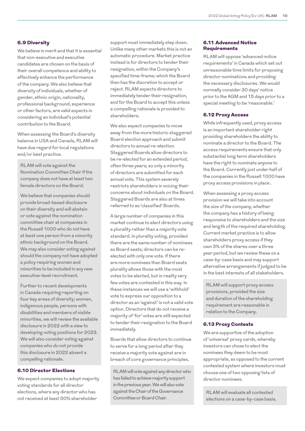#### 6.9 Diversity

We believe in merit and that it is essential that non-executive and executive candidates are chosen on the basis of their overall competence and ability to effectively enhance the performance of the company. We also believe that diversity of individuals, whether of gender, ethnic origin, nationality, professional background, experience or other factors, are valid aspects in considering an individual's potential contribution to the Board.

When assessing the Board's diversity balance in USA and Canada, RLAM will have due regard for local regulations and/or best practice.

RLAM will vote against the Nomination Committee Chair if the company does not have at least two female directors on the Board.

We believe that companies should provide broad-based disclosure on their diversity and will abstain or vote against the nomination committee chair at companies in the Russell 1000 who do not have at least one person from a minority ethnic background on the Board. We may also consider voting against should the company not have adopted a policy requiring women and minorities to be included in any new executive-level recruitment.

Further to recent developments in Canada requiring reporting on four key areas of diversity; women, indigenous people, persons with disabilities and members of visible minorities, we will review the available disclosure in 2022 with a view to developing voting positions for 2023. We will also consider voting against companies who do not provide this disclosure in 2022 absent a compelling rationale.

#### 6.10 Director Elections

We expect companies to adopt majority voting standards for all director elections, where any director who has not received at least 50% shareholder

support must immediately step down. Unlike many other markets this is not an automatic procedure. Market practice instead is for directors to tender their resignation, within the Company's specified time-frame; which the Board then has the discretion to accept or reject. RLAM expects directors to immediately tender their resignation, and for the Board to accept this unless a compelling rationale is provided to shareholders.

We also expect companies to move away from the more historic staggered Board election approach and submit directors to annual re-election. Staggered Boards allow directors to be re-elected for an extended period, often three years; so only a minority of directors are submitted for each annual vote. This system severely restricts shareholders in voicing their concerns about individuals on the Board. Staggered Boards are also at times referred to as 'classified' Boards.

A large number of companies in this market continue to elect directors using a plurality rather than a majority vote standard. In plurality voting, provided there are the same number of nominees as Board seats; directors can be reelected with only one vote. If there are more nominees than Board seats plurality allows those with the most votes to be elected, but in reality very few votes are contested in this way. In these instances we will use a 'withhold' vote to express our opposition to a director as an 'against' is not a valid vote option. Directors that do not receive a majority of 'for' votes are still expected to tender their resignation to the Board immediately.

Boards that allow directors to continue to serve for a long period after they receive a majority vote against are in breach of core governance principles.

RLAM will vote against any director who has failed to achieve majority support in the previous year. We will also vote against the Chair of the Governance Committee or Board Chair.

## 6.11 Advanced Notice **Requirements**

RLAM will oppose 'advanced notice requirements' in Canada which set out unreasonable time limits for proposing director nominations and providing the necessary disclosures. We would normally consider 30 days' notice prior to the AGM and 15 days prior to a special meeting to be 'reasonable.'

## 6.12 Proxy Access

While infrequently used, proxy access is an important shareholder right providing shareholders the ability to nominate a director to the Board. The access requirements ensure that only substantial long term shareholders have the right to nominate anyone to the Board. Currently just under half of the companies in the Russell 1000 have proxy access provisions in place .

When assessing a proxy access provision we will take into account the size of the company, whether the company has a history of being responsive to shareholders and the size and length of the required shareholding. Current market practice is to allow shareholders proxy access if they own 3% of the shares over a three year period, but we review these on a case-by-case basis and may support alternative arrangements if judged to be in the best interests of all stakeholders.

RLAM will support proxy access provisions, provided the size and duration of the shareholding requirement are reasonable in relation to the Company.

#### 6.13 Proxy Contests

We are supportive of the adoption of 'universal' proxy cards, whereby investors can chose to elect the nominees they deem to be most appropriate, as opposed to the current contested system where investors must choose one of two opposing lists of director nominees.

RLAM will evaluate all contested elections on a case-by-case basis.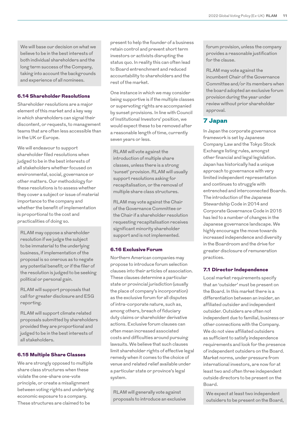We will base our decision on what we believe to be in the best interests of both individual shareholders and the long term success of the Company, taking into account the backgrounds and experience of all nominees.

#### 6.14 Shareholder Resolutions

Shareholder resolutions are a major element of this market and a key way in which shareholders can signal their discontent, or requests, to management teams that are often less accessible than in the UK or Europe.

We will endeavour to support shareholder filed resolutions when judged to be in the best interests of all stakeholders whether focused on environmental, social, governance or other matters. Our methodology for these resolutions is to assess whether they cover a subject or issue of material importance to the company and whether the benefit of implementation is proportional to the cost and practicalities of doing so.

RLAM may oppose a shareholder resolution if we judge the subject to be immaterial to the underlying business, if implementation of the proposal is so onerous as to negate any potential benefit; or if the filer of the resolution is judged to be seeking political or personal gain.

RLAM will support proposals that call for greater disclosure and ESG reporting.

RLAM will support climate related proposals submitted by shareholders provided they are proportional and judged to be in the best interests of all stakeholders.

#### 6.15 Multiple Share Classes

We are strongly opposed to multiple share class structures when these violate the one-share one-vote principle, or create a misalignment between voting rights and underlying economic exposure to a company. These structures are claimed to be

present to help the founder of a business retain control and prevent short term investors or activists disrupting the status quo. In reality this can often lead to Board entrenchment and reduced accountability to shareholders and the rest of the market.

One instance in which we may consider being supportive is if the multiple classes or supervoting rights are accompanied by sunset provisions. In line with Council of Institutional Investors' position, we would expect these to be removed after a reasonable length of time, currently seven years or less.

RLAM will vote against the introduction of multiple share classes, unless there is a strong 'sunset' provision. RLAM will usually support resolutions asking for recapitalisation, or the removal of multiple share class structures.

RLAM may vote against the Chair of the Governance Committee or the Chair if a shareholder resolution requesting recapitalisation receives significant minority shareholder support and is not implemented.

#### 6.16 Exclusive Forum

Northern American companies may propose to introduce forum selection clauses into their articles of association. These clauses determine a particular state or provincial jurisdiction (usually the place of company's incorporation) as the exclusive forum for all disputes of intra-corporate nature, such as, among others, breach of fiduciary duty claims or shareholder derivative actions. Exclusive forum clauses can often mean increased associated costs and difficulties around pursuing lawsuits. We believe that such clauses limit shareholder rights of effective legal remedy when it comes to the choice of venue and related relief available under a particular state or province's legal system.

RLAM will generally vote against proposals to introduce an exclusive forum provision, unless the company provides a reasonable justification for the clause.

RLAM may vote against the incumbent Chair of the Governance Committee and/or its members when the board adopted an exclusive forum provision during the year under review without prior shareholder approval.

## 7 Japan

In Japan the corporate governance framework is set by Japanese Company Law and the Tokyo Stock Exchange listing rules, amongst other financial and legal legislation. Japan has historically had a unique approach to governance with very limited independent representation and continues to struggle with entrenched and interconnected Boards. The introduction of the Japanese Stewardship Code in 2014 and Corporate Governance Code in 2015 has led to a number of changes in the Japanese governance landscape. We highly encourage the move towards increased independence and diversity in the Boardroom and the drive for greater disclosure of remuneration practices.

#### 7.1 Director Independence

Local market requirements specify that an 'outsider' must be present on the Board. In this market there is a differentiation between an insider, an affiliated outsider and independent outsider. Outsiders are often not independent due to familial, business or other connections with the Company. We do not view affiliated outsiders as sufficient to satisfy independence requirements and look for the presence of independent outsiders on the Board. Market norms, under pressure from international investors, are now for at least two and often three independent outside directors to be present on the Board.

We expect at least two independent outsiders to be present on the Board,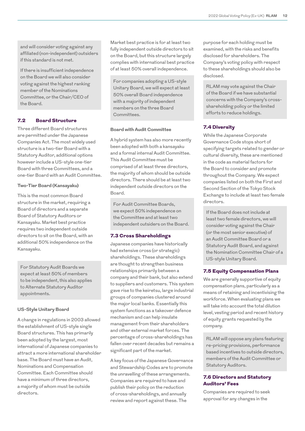and will consider voting against any affiliated (non-independent) outsiders if this standard is not met.

If there is insufficient independence on the Board we will also consider voting against the highest ranking member of the Nominations Committee, or the Chair/CEO of the Board.

## 7.2 Board Structure

Three different Board structures are permitted under the Japanese Companies Act. The most widely used structure is a two-tier Board with a Statutory Auditor, additional options however include a US-style one-tier Board with three Committees, and a one-tier Board with an Audit Committee.

#### **Two-Tier Board (Kansayaku)**

This is the most common Board structure in the market, requiring a Board of directors and a separate Board of Statutory Auditors or Kansayaku. Market best practice requires two independent outside directors to sit on the Board, with an additional 50% independence on the Kansayaku.

For Statutory Audit Boards we expect at least 50% of members to be independent, this also applies to Alternate Statutory Auditor appointments.

#### **US-Style Unitary Board**

A change in regulations in 2003 allowed the establishment of US-style single Board structures. This has primarily been adopted by the largest, most international of Japanese companies to attract a more international shareholder base. The Board must have an Audit, Nominations and Compensation Committee. Each Committee should have a minimum of three directors, a majority of whom must be outside directors.

Market best practice is for at least two fully independent outside directors to sit on the Board, but this structure largely complies with international best practice of at least 50% overall independence.

For companies adopting a US-style Unitary Board, we will expect at least 50% overall Board independence with a majority of independent members on the three Board Committees.

#### **Board with Audit Committee**

A hybrid system has also more recently been adopted with both a kansayaku and a formal internal Audit Committee. This Audit Committee must be comprised of at least three directors, the majority of whom should be outside directors. There should be at least two independent outside directors on the Board.

For Audit Committee Boards, we expect 50% independence on the Committee and at least two independent outsiders on the Board.

#### 7.3 Cross Shareholdings

Japanese companies have historically had extensive cross (or strategic) shareholdings. These shareholdings are thought to strengthen business relationships primarily between a company and their bank, but also extend to suppliers and customers. This system gave rise to the keiretsu, large industrial groups of companies clustered around the major local banks. Essentially this system functions as a takeover defence mechanism and can help insulate management from their shareholders and other external market forces. The percentage of cross-shareholdings has fallen over recent decades but remains a significant part of the market.

A key focus of the Japanese Governance and Stewardship Codes are to promote the unravelling of these arrangements. Companies are required to have and publish their policy on the reduction of cross-shareholdings, and annually review and report against these. The

purpose for each holding must be examined, with the risks and benefits disclosed for shareholders. The Company's voting policy with respect to these shareholdings should also be disclosed.

RLAM may vote against the Chair of the Board if we have substantial concerns with the Company's crossshareholding policy or the limited efforts to reduce holdings.

#### 7.4 Diversity

While the Japanese Corporate Governance Code stops short of specifying targets related to gender or cultural diversity, these are mentioned in the code as material factors for the Board to consider and promote throughout the Company. We expect companies listed on both the First and Second Section of the Tokyo Stock Exchange to include at least two female directors.

If the Board does not include at least two female directors, we will consider voting against the Chair (or the most senior executive) of an Audit Committee Board or a Statutory Audit Board, and against the Nomination Committee Chair of a US-style Unitary Board.

#### 7.5 Equity Compensation Plans

We are generally supportive of equity compensation plans, particularly as a means of retaining and incentivising the workforce. When evaluating plans we will take into account the total dilution level, vesting period and recent history of equity grants requested by the company.

RLAM will oppose any plans featuring re-pricing provisions, performance based incentives to outside directors, members of the Audit Committee or Statutory Auditors.

## 7.6 Directors and Statutory Auditors' Fees

Companies are required to seek approval for any changes in the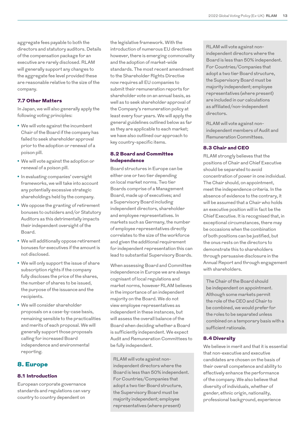aggregate fees payable to both the directors and statutory auditors. Details of the compensation package for an executive are rarely disclosed. RLAM will generally support any changes to the aggregate fee level provided these are reasonable relative to the size of the company.

## 7.7 Other Matters

In Japan, we will also generally apply the following voting principles:

- **•** We will vote against the incumbent Chair of the Board if the company has failed to seek shareholder approval prior to the adoption or renewal of a poison pill.
- **•** We will vote against the adoption or renewal of a poison pill.
- **•** In evaluating companies' oversight frameworks, we will take into account any potentially excessive strategic shareholdings held by the company.
- **•** We oppose the granting of retirement bonuses to outsiders and/or Statutory Auditors as this detrimentally impacts their independent oversight of the Board.
- **•** We will additionally oppose retirement bonuses for executives if the amount is not disclosed.
- **•** We will only support the issue of share subscription rights if the company fully discloses the price of the shares, the number of shares to be issued, the purpose of the issuance and the recipients.
- **•** We will consider shareholder proposals on a case-by-case basis, remaining sensible to the practicalities and merits of each proposal. We will generally support those proposals calling for increased Board independence and environmental reporting.

## 8. Europe

#### 8.1 Introduction

European corporate governance standards and regulations can vary country to country dependent on

the legislative framework. With the introduction of numerous EU directives however, there is emerging commonality and the adoption of market-wide standards. The most recent amendment to the Shareholder Rights Directive now requires all EU companies to submit their remuneration reports for shareholder vote on an annual basis, as well as to seek shareholder approval of the Company's remuneration policy at least every four years. We will apply the general guidelines outlined below as far as they are applicable to each market; we have also outlined our approach to key country-specific items.

## 8.2 Board and Committee Independence

Board structures in Europe can be either one or two tier depending on local market norms. Two tier Boards comprise of a Management Board, made up of executives; and a Supervisory Board including independent directors, shareholder and employee representatives. In markets such as Germany, the number of employee representatives directly correlates to the size of the workforce and given the additional requirement for independent representation this can lead to substantial Supervisory Boards.

When assessing Board and Committee independence in Europe we are always cognisant of local regulations and market norms, however RLAM believes in the importance of an independent majority on the Board. We do not view employee representatives as independent in these instances, but will assess the overall balance of the Board when deciding whether a Board is sufficiently independent. We expect Audit and Remuneration Committees to be fully independent.

RLAM will vote against nonindependent directors where the Board is less than 50% independent. For Countries/Companies that adopt a two tier Board structure, the Supervisory Board must be majority independent; employee representatives (where present)

RLAM will vote against nonindependent directors where the Board is less than 50% independent. For Countries/Companies that adopt a two tier Board structure, the Supervisory Board must be majority independent; employee representatives (where present) are included in our calculations as affiliated/non-independent directors.

RLAM will vote against nonindependent members of Audit and Remuneration Committees.

#### 8.3 Chair and CEO

RLAM strongly believes that the positions of Chair and Chief Executive should be separated to avoid concentration of power in one individual. The Chair should, on appointment, meet the independence criteria. In the absence of evidence to the contrary, it will be assumed that a Chair who holds an executive position will in fact be the Chief Executive. It is recognised that, in exceptional circumstances, there may be occasions when the combination of both positions can be justified, but the onus rests on the directors to demonstrate this to shareholders through persuasive disclosure in the Annual Report and through engagement with shareholders.

The Chair of the Board should be independent on appointment. Although some markets permit the role of the CEO and Chair to be combined, we would prefer for the roles to be separated unless combined on a temporary basis with a sufficient rationale.

## 8.4 Diversity

We believe in merit and that it is essential that non-executive and executive candidates are chosen on the basis of their overall competence and ability to effectively enhance the performance of the company. We also believe that diversity of individuals, whether of gender, ethnic origin, nationality, professional background, experience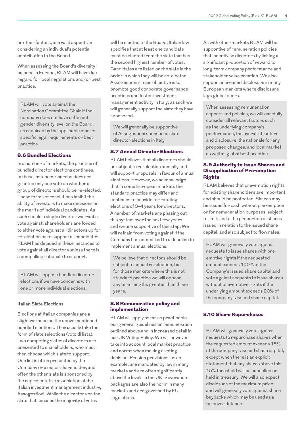or other factors, are valid aspects in considering an individual's potential contribution to the Board.

When assessing the Board's diversity balance in Europe, RLAM will have due regard for local regulations and/or best practice.

RLAM will vote against the Nomination Committee Chair if the company does not have sufficient gender diversity level on the Board, as required by the applicable market specific legal requirements or best practice.

#### 8.6 Bundled Elections

In a number of markets, the practice of bundled director elections continues. In these instances shareholders are granted only one vote on whether a group of directors should be re-elected. These forms of resolutions inhibit the ability of investors to make decisions on the merits of individual candidates. As such should a single director warrant a vote against, shareholders are forced to either vote against all directors up for re-election or to support all candidates. RLAM has decided in these instances to vote against all directors unless there is a compelling rationale to support.

RLAM will oppose bundled director elections if we have concerns with one or more individual elections.

#### **Italian Slate Elections**

Elections at Italian companies are a slight variance on the above mentioned bundled elections. They usually take the form of slate selections (voto di lista). Two competing slates of directors are presented to shareholders, who must then choose which slate to support. One list is often presented by the Company or a major shareholder, and often the other slate is sponsored by the representative association of the Italian investment management industry, Assogestioni. While the directors on the slate that secures the majority of votes

will be elected to the Board, Italian law specifies that at least one candidate must be elected from the slate that has the second highest number of votes. Candidates are listed on the slate in the order in which they will be re-elected. Assogestioni's main objective is to promote good corporate governance practices and foster investment management activity in Italy; as such we will generally support the slate they have sponsored.

We will generally be supportive of Assogestioni sponsored slate director elections in Italy.

#### 8.7 Annual Director Elections

RLAM believes that all directors should be subject to re-election annually and will support proposals in favour of annual elections. However, we acknowledge that in some European markets the standard practice may differ and continues to provide for rotating elections of 3-4 years for directors. A number of markets are phasing out this system over the next few years and we are supportive of this step. We will refrain from voting against if the Company has committed to a deadline to implement annual elections.

We believe that directors should be subject to annual re-election, but for those markets where this is not standard practice we will oppose any term lengths greater than three years.

## 8.8 Remuneration policy and implementation

RLAM will apply as far as practicable our general guidelines on remuneration outlined above and in increased detail in our UK Voting Policy. We will however take into account local market practice and norms when making a voting decision. Pension provisions, as an example; are mandated by law in many markets and are often significantly above the levels in the UK. Severance packages are also the norm in many markets and are governed by EU regulations.

As with other markets RLAM will be supportive of remuneration policies that incentivise directors by linking a significant proportion of reward to long-term company performance and stakeholder value creation. We also support increased disclosure in many European markets where disclosure lags global peers.

When assessing remuneration reports and policies, we will carefully consider all relevant factors such as the underlying company's performance, the overall structure and disclosure, the rationale for any proposed changes, and local market as well as global best practice.

## 8.9 Authority to Issue Shares and Disapplication of Pre-emption Rights

RLAM believes that pre-emption rights for existing shareholders are important and should be protected. Shares may be issued for cash without pre-emption or for remuneration purposes, subject to limits as to the proportion of shares issued in relation to the issued share capital, and also subject to flow rates.

RLAM will generally vote against requests to issue shares with preemptive rights if the requested amount exceeds 100% of the Company's issued share capital and vote against requests to issue shares without pre-emptive rights if the underlying amount exceeds 20% of the company's issued share capital.

#### 8.10 Share Repurchases

RLAM will generally vote against requests to repurchase shares when the requested amount exceeds 15% of the company's issued share capital, except when there is an explicit statement that any shares above this 15% threshold will be cancelled or held in treasury. We will also expect disclosure of the maximum price and will generally vote against share buybacks which may be used as a takeover defence.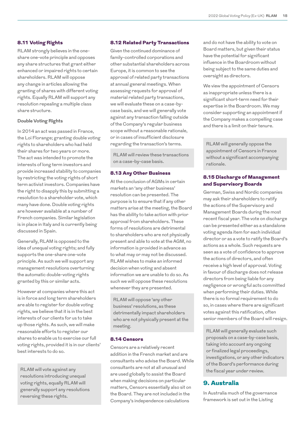## 8.11 Voting Rights

RLAM strongly believes in the oneshare one-vote principle and opposes any share structures that grant either enhanced or impaired rights to certain shareholders. RLAM will oppose any change in articles allowing the granting of shares with different voting rights. Equally RLAM will support any resolution repealing a multiple class share structure.

#### **Double Voting Rights**

In 2014 an act was passed in France, the Loi Florange; granting double voting rights to shareholders who had held their shares for two years or more. The act was intended to promote the interests of long term investors and provide increased stability to companies by restricting the voting rights of short term activist investors. Companies have the right to disapply this by submitting a resolution to a shareholder vote, which many have done. Double voting rights are however available at a number of French companies. Similar legislation is in place in Italy and is currently being discussed in Spain.

Generally, RLAM is opposed to the idea of unequal voting rights; and fully supports the one-share one-vote principle. As such we will support any management resolutions overturning the automatic double-voting rights granted by this or similar acts.

However at companies where this act is in force and long term shareholders are able to register for double voting rights, we believe that it is in the best interests of our clients for us to take up those rights. As such, we will make reasonable efforts to register our shares to enable us to exercise our full voting rights, provided it is in our clients' best interests to do so.

RLAM will vote against any resolutions introducing unequal voting rights, equally RLAM will generally support any resolutions reversing these rights.

#### 8.12 Related Party Transactions

Given the continued dominance of family-controlled corporations and other substantial shareholders across Europe, it is common to see the approval of related party transactions at annual general meetings. When assessing requests for approval of material related party transactions, we will evaluate these on a case-bycase basis, and we will generally vote against any transaction falling outside of the Company's regular business scope without a reasonable rationale, or in cases of insufficient disclosure regarding the transaction's terms.

RLAM will review these transactions on a case-by-case basis.

#### 8.13 Any Other Business

At the conclusion of AGMs in certain markets an 'any other business' resolution can be presented. The purpose is to ensure that if any other matters arise at the meeting, the Board has the ability to take action with prior approval from shareholders. These forms of resolutions are detrimental to shareholders who are not physically present and able to vote at the AGM, no information is provided in advance as to what may or may not be discussed. RLAM wishes to make an informed decision when voting and absent information we are unable to do so. As such we will oppose these resolutions whenever they are presented.

RLAM will oppose 'any other business' resolutions, as these detrimentally impact shareholders who are not physically present at the meeting.

#### 8.14 Censors

Censors are a relatively recent addition in the French market and are consultants who advise the Board. While consultants are not at all unusual and are used globally to assist the Board when making decisions on particular matters, Censors essentially also sit on the Board. They are not included in the Company's independence calculations

and do not have the ability to vote on Board matters, but given their status have the potential for significant influence in the Boardroom without being subject to the same duties and oversight as directors.

We view the appointment of Censors as inappropriate unless there is a significant short-term need for their expertise in the Boardroom. We may consider supporting an appointment if the Company makes a compelling case and there is a limit on their tenure.

RLAM will generally oppose the appointment of Censors in France without a significant accompanying rationale.

## 8.15 Discharge of Management and Supervisory Boards

German, Swiss and Nordic companies may ask their shareholders to ratify the actions of the Supervisory and Management Boards during the most recent fiscal year. The vote on discharge can be presented either as a standalone voting agenda item for each individual director or as a vote to ratify the Board's actions as a whole. Such requests are seen as a vote of confidence to approve the actions of directors, and often receive a high level of approval. Voting in favour of discharge does not release directors from being liable for any negligence or wrongful acts committed when performing their duties. While there is no formal requirement to do so, in cases where there are significant votes against this ratification, often senior members of the Board will resign.

RLAM will generally evaluate such proposals on a case-by-case basis, taking into account any ongoing or finalized legal proceedings, investigations, or any other indicators of the Board's performance during the fiscal year under review.

## 9. Australia

In Australia much of the governance framework is set out in the Listing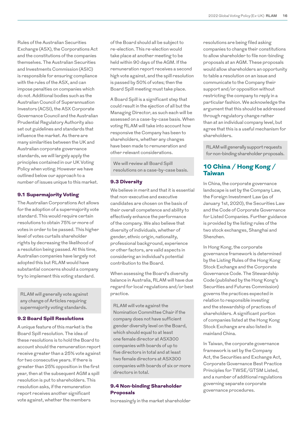Rules of the Australian Securities Exchange (ASX), the Corporations Act and the constitutions of the companies themselves. The Australian Securities and Investments Commission (ASIC) is responsible for ensuring compliance with the rules of the ASX, and can impose penalties on companies which do not. Additional bodies such as the Australian Council of Superannuation Investors (ACSI), the ASX Corporate Governance Council and the Australian Prudential Regulatory Authority also set out guidelines and standards that influence the market. As there are many similarities between the UK and Australian corporate governance standards, we will largely apply the principles contained in our UK Voting Policy when voting. However we have outlined below our approach to a number of issues unique to this market.

#### 9.1 Supermajority Voting

The Australian Corporations Act allows for the adoption of a supermajority vote standard. This would require certain resolutions to obtain 75% or more of votes in order to be passed. This higher level of votes curtails shareholder rights by decreasing the likelihood of a resolution being passed. At this time, Australian companies have largely not adopted this but RLAM would have substantial concerns should a company try to implement this voting standard.

RLAM will generally vote against any change of Articles requiring supermajority voting standards.

#### 9.2 Board Spill Resolutions

A unique feature of this market is the Board Spill resolution. The idea of these resolutions is to hold the Board to account should the remuneration report receive greater than a 25% vote against for two consecutive years. If there is greater than 25% opposition in the first year, then at the subsequent AGM a spill resolution is put to shareholders. This resolution asks, if the remuneration report receives another significant vote against, whether the members

of the Board should all be subject to re-election. This re-election would take place at another meeting to be held within 90 days of the AGM. If the remuneration report receives a second high vote against, and the spill resolution is passed by 50% of votes; then the Board Spill meeting must take place.

A Board Spill is a significant step that could result in the ejection of all but the Managing Director, as such each will be assessed on a case-by-case basis. When voting RLAM will take into account how responsive the Company has been to shareholders, whether any changes have been made to remuneration and other relevant considerations.

We will review all Board Spill resolutions on a case-by-case basis.

#### 9.3 Diversity

We believe in merit and that it is essential that non-executive and executive candidates are chosen on the basis of their overall competence and ability to effectively enhance the performance of the company. We also believe that diversity of individuals, whether of gender, ethnic origin, nationality, professional background, experience or other factors, are valid aspects in considering an individual's potential contribution to the Board.

When assessing the Board's diversity balance in Australia, RLAM will have due regard for local regulations and/or best practice.

RLAM will vote against the Nomination Committee Chair if the company does not have sufficient gender diversity level on the Board, which should equal to at least one female director at ASX300 companies with boards of up to five directors in total and at least two female directors at ASX300 companies with boards of six or more directors in total.

## 9.4 Non-binding Shareholder Proposals

Increasingly in the market shareholder

resolutions are being filed asking companies to change their constitutions to allow shareholder to file non-binding proposals at an AGM. These proposals would allow shareholders an opportunity to table a resolution on an issue and communicate to the Company their support and/or opposition without restricting the company to reply in a particular fashion. We acknowledge the argument that this should be addressed through regulatory change rather than at an individual company level, but agree that this is a useful mechanism for shareholders.

RLAM will generally support requests for non-binding shareholder proposals.

## 10 China / Hong Kong / **Taiwan**

In China, the corporate governance landscape is set by the Company Law, the Foreign Investment Law (as of January 1st, 2020), the Securities Law and the Code of Corporate Governance for Listed Companies. Further guidance is provided by the listing rules of the two stock exchanges, Shanghai and Shenzhen.

In Hong Kong, the corporate governance framework is determined by the Listing Rules of the Hong Kong Stock Exchange and the Corporate Governance Code. The Stewardship Code (published by the Hong Kong's Securities and Futures Commission) governs the practices expected in relation to responsible investing and the stewardship of practices of shareholders. A significant portion of companies listed at the Hong Kong Stock Exchange are also listed in mainland China.

In Taiwan, the corporate governance framework is set by the Company Act, the Securities and Exchange Act, Corporate Governance Best Practice Principles for TWSE/GTSM Listed, and a number of additional regulations governing separate corporate governance procedures.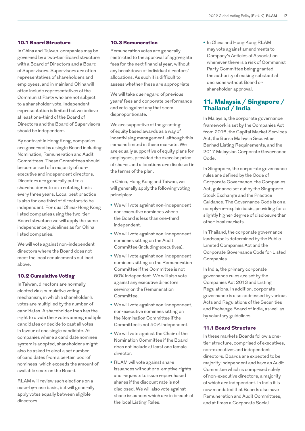## 10.1 Board Structure

In China and Taiwan, companies may be governed by a two-tier Board structure with a Board of Directors and a Board of Supervisors. Supervisors are often representatives of shareholders and employees, and in mainland China will often include representatives of the Communist Party who are not subject to a shareholder vote. Independent representation is limited but we believe at least one-third of the Board of Directors and the Board of Supervisors should be independent.

By contrast in Hong Kong, companies are governed by a single Board including Nomination, Remuneration and Audit Committees. These Committees should be comprised of a majority of nonexecutive and independent directors. Directors are generally put to a shareholder vote on a rotating basis every three years. Local best practice is also for one third of directors to be independent. For dual China-Hong Kong listed companies using the two-tier Board structure we will apply the same independence guidelines as for China listed companies.

We will vote against non-independent directors where the Board does not meet the local requirements outlined above.

### 10.2 Cumulative Voting

In Taiwan, directors are normally elected via a cumulative voting mechanism, in which a shareholder's votes are multiplied by the number of candidates. A shareholder then has the right to divide their votes among multiple candidates or decide to cast all votes in favour of one single candidate. At companies where a candidate nominee system is adopted, shareholders might also be asked to elect a set number of candidates from a certain pool of nominees, which exceeds the amount of available seats on the Board.

RLAM will review such elections on a case-by-case basis, but will generally apply votes equally between eligible directors.

#### 10.3 Remuneration

Remuneration votes are generally restricted to the approval of aggregate fees for the next financial year, without any breakdown of individual directors' allocations. As such it is difficult to assess whether these are appropriate.

We will take due regard of previous years' fees and corporate performance and vote against any that seem disproportionate.

We are supportive of the granting of equity based awards as a way of incentivising management, although this remains limited in these markets. We are equally supportive of equity plans for employees, provided the exercise price of shares and allocations are disclosed in the terms of the plan.

In China, Hong Kong and Taiwan, we will generally apply the following voting principles:

- **•** We will vote against non-independent non-executive nominees where the Board is less than one-third independent.
- **•** We will vote against non-independent nominees sitting on the Audit Committee (including executives).
- **•** We will vote against non-independent nominees sitting on the Remuneration Committee if the Committee is not 50% independent. We will also vote against any executive directors serving on the Remuneration Committee.
- **•** We will vote against non-independent, non-executive nominees sitting on the Nomination Committee if the Committee is not 50% independent.
- **•** We will vote against the Chair of the Nomination Committee if the Board does not include at least one female director.
- **•** RLAM will vote against share issuances without pre-emptive rights and requests to issue repurchased shares if the discount rate is not disclosed. We will also vote against share issuances which are in breach of the local Listing Rules.

**•** In China and Hong Kong RLAM may vote against amendments to Company's Articles of Association whenever there is a risk of Communist Party Committee being granted the authority of making substantial decisions without Board or shareholder approval.

## 11. Malaysia / Singapore / Thailand / India

In Malaysia, the corporate governance framework is set by the Companies Act from 2016, the Capital Market Services Act, the Bursa Malaysia Securities Berhad Listing Requirements, and the 2017 Malaysian Corporate Governance Code.

In Singapore, the corporate governance rules are defined by the Code of Corporate Governance, the Companies Act, guidance set out by the Singapore Stock Exchange and the Practice Guidance. The Governance Code is on a comply-or-explain basis, providing for a slightly higher degree of disclosure than other local markets.

In Thailand, the corporate governance landscape is determined by the Public Limited Companies Act and the Corporate Governance Code for Listed Companies.

In India, the primary corporate governance rules are set by the Companies Act 2013 and Listing Regulations. In addition, corporate governance is also addressed by various Acts and Regulations of the Securities and Exchange Board of India, as well as by voluntary guidelines.

## 11.1 Board Structure

In these markets Boards follow a onetier structure, comprised of executives, non-executives and independent directors. Boards are expected to be majority independent and have an Audit Committee which is comprised solely of non-executive directors, a majority of which are independent. In India it is now mandated that Boards also have Remuneration and Audit Committees, and at times a Corporate Social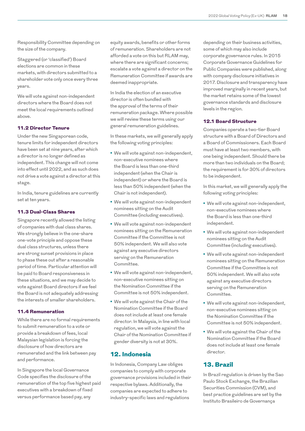Responsibility Committee depending on the size of the company.

Staggered (or 'classified') Board elections are common in these markets, with directors submitted to a shareholder vote only once every three years.

We will vote against non-independent directors where the Board does not meet the local requirements outlined above.

#### 11.2 Director Tenure

Under the new Singaporean code, tenure limits for independent directors have been set at nine years, after which a director is no longer defined as independent. This change will not come into effect until 2022, and as such does not drive a vote against a director at this stage.

In India, tenure guidelines are currently set at ten years.

## 11.3 Dual-Class Shares

Singapore recently allowed the listing of companies with dual class shares. We strongly believe in the one-share one-vote principle and oppose these dual class structures, unless there are strong sunset provisions in place to phase these out after a reasonable period of time. Particular attention will be paid to Board responsiveness in these situations, and we may decide to vote against Board directors if we feel the Board is not adequately addressing the interests of smaller shareholders.

#### 11.4 Remuneration

While there are no formal requirements to submit remuneration to a vote or provide a breakdown of fees, local Malaysian legislation is forcing the disclosure of how directors are remunerated and the link between pay and performance.

In Singapore the local Governance Code specifies the disclosure of the remuneration of the top five highest paid executives with a breakdown of fixed versus performance based pay, any

equity awards, benefits or other forms of remuneration. Shareholders are not afforded a vote on this but RLAM may, where there are significant concerns; escalate a vote against a director on the Remuneration Committee if awards are deemed inappropriate.

In India the election of an executive director is often bundled with the approval of the terms of their remuneration package. Where possible we will review these terms using our general remuneration guidelines.

In these markets, we will generally apply the following voting principles:

- **•** We will vote against non-independent, non-executive nominees where the Board is less than one-third independent (when the Chair is independent) or where the Board is less than 50% independent (when the Chair is not independent).
- **•** We will vote against non-independent nominees sitting on the Audit Committee (including executives).
- **•** We will vote against non-independent nominees sitting on the Remuneration Committee if the Committee is not 50% independent. We will also vote against any executive directors serving on the Remuneration Committee.
- **•** We will vote against non-independent, non-executive nominees sitting on the Nomination Committee if the Committee is not 50% independent.
- **•** We will vote against the Chair of the Nomination Committee if the Board does not include at least one female director. In Malaysia, in line with local regulation, we will vote against the Chair of the Nomination Committee if gender diversity is not at 30%.

## 12. Indonesia

In Indonesia, Company Law obliges companies to comply with corporate governance provisions included in their respective bylaws. Additionally, the companies are expected to adhere to industry-specific laws and regulations

depending on their business activities, some of which may also include corporate governance rules. In 2015 Corporate Governance Guidelines for Public Companies were published, along with company disclosure initiatives in 2017. Disclosure and transparency have improved marginally in recent years, but the market retains some of the lowest governance standards and disclosure levels in the region.

### 12.1 Board Structure

Companies operate a two-tier Board structure with a Board of Directors and a Board of Commissioners. Each Board must have at least two members, with one being independent. Should there be more than two individuals on the Board; the requirement is for 30% of directors to be independent.

In this market, we will generally apply the following voting principles:

- **•** We will vote against non-independent, non-executive nominees where the Board is less than one-third independent.
- **•** We will vote against non-independent nominees sitting on the Audit Committee (including executives).
- **•** We will vote against non-independent nominees sitting on the Remuneration Committee if the Committee is not 50% independent. We will also vote against any executive directors serving on the Remuneration Committee.
- **•** We will vote against non-independent, non-executive nominees sitting on the Nomination Committee if the Committee is not 50% independent.
- **•** We will vote against the Chair of the Nomination Committee if the Board does not include at least one female director.

# 13. Brazil

In Brazil regulation is driven by the Sao Paulo Stock Exchange, the Brazilian Securities Commission (CVM), and best practice guidelines are set by the Instituto Brasileiro de Governança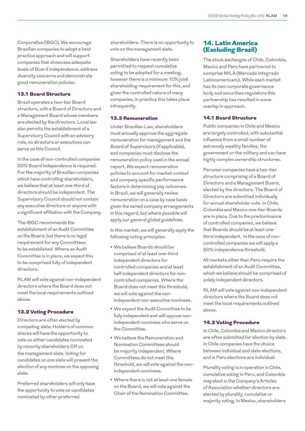Corporativa (IBGC). We encourage Brazilian companies to adopt a best practice approach and will support companies that showcase adequate levels of Board independence, address diversity concerns and demonstrate good remuneration policies.

## 13.1 Board Structure

Brazil operates a two-tier Board structure, with a Board of Directors and a Management Board whose members are elected by the directors. Local law also permits the establishment of a Supervisory Council with an advisory role, no directors or executives can serve on this Council.

In the case of non-controlled companies 50% Board independence is required. For the majority of Brazilian companies which have controlling shareholders, we believe that at least one-third of directors should be independent. The Supervisory Council should not contain any executive directors or anyone with a significant affiliation with the Company.

The IBGC recommends the establishment of an Audit Committee on the Board, but there is no legal requirement for any Committees to be established. Where an Audit Committee is in place, we expect this to be comprised fully of independent directors.

RLAM will vote against non-independent directors where the Board does not meet the local requirements outlined above.

### 13.2 Voting Procedure

Directors are often elected by competing slate. Holders of common shares will have the opportunity to vote on either candidates nominated by minority shareholders OR on the management slate. Voting for candidates on one slate will prevent the election of any nominee on the opposing slate.

Preferred shareholders will only have the opportunity to vote on candidates nominated by other preferred

shareholders. There is no opportunity to vote on the management slate.

Shareholders have recently been permitted to request cumulative voting to be adopted for a meeting, however there is a minimum 10% joint shareholding requirement for this, and given the controlled nature of many companies, in practice this takes place infrequently.

## 13.3 Remuneration

Under Brazilian Law, shareholders must annually approve the aggregate remuneration for management and the Board of Supervisors (if applicable), and companies must disclose the remuneration policy used in the annual report. We expect remuneration policies to account for market context and company specific performance factors in determining pay outcomes. In Brazil, we will generally review remuneration on a case by case basis given the varied company arrangements in this regard, but where possible will apply our general global guidelines.

In this market, we will generally apply the following voting principles:

- **•** We believe Boards should be comprised of at least one-third independent directors for controlled companies and at least half independent directors for noncontrolled companies. Where the Board does not meet this threshold, we will vote against the nonindependent non-executive nominees.
- **•** We expect the Audit Committee to be fully independent and will oppose nonindependent nominees who serve on the Committee.
- **•** We believe the Remuneration and Nomination Committees should be majority independent. Where Committees do not meet this threshold, we will vote against the nonindependent nominees.
- **•** Where there is not at least one female on the Board, we will vote against the Chair of the Nomination Committee.

## 14. Latin America (Excluding Brazil)

The stock exchanges of Chile, Colombia, Mexico and Peru have partnered to comprise MILA (Mercado Integrado Latinoamericano). While each market has its own corporate governance body and securities regulators this partnership has resulted in some overlap in approach.

### 14.1 Board Structure

Public companies in Chile and Mexico are largely controlled, with substantial influence from a small number of extremely wealthy families, the government or the military and can have highly complex ownership structures.

Peruvian companies have a two-tier structure comprising of a Board of Directors and a Management Board, elected by the directors. The Board of Directors are submitted individually for annual shareholder vote. In Chile, Colombia and Mexico one-tier Boards are in place. Due to the predominance of controlled companies, we believe that Boards should be at least onethird independent. In the case of noncontrolled companies we will apply a 50% independence threshold.

All markets other than Peru require the establishment of an Audit Committee, which we believe should be comprised of solely independent directors.

RLAM will vote against non-independent directors where the Board does not meet the local requirements outlined above.

## 14.2 Voting Procedure

In Chile, Colombia and Mexico directors are often submitted for election by slate. In Chile companies have the choice between individual and slate elections, and in Peru elections are individual.

Plurality voting is in operation in Chile, cumulative voting in Peru, and Colombia may elect in the Company's Articles of Association whether directors are elected by plurality, cumulative or majority voting. In Mexico, shareholders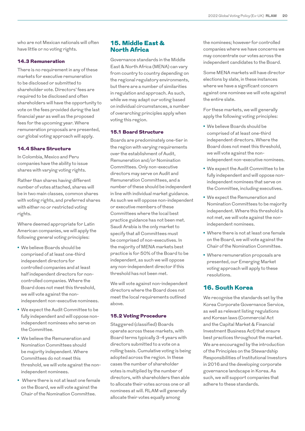who are not Mexican nationals will often have little or no voting rights.

#### 14.3 Remuneration

There is no requirement in any of these markets for executive remuneration to be disclosed or submitted to shareholder vote. Directors' fees are required to be disclosed and often shareholders will have the opportunity to vote on the fees provided during the last financial year as well as the proposed fees for the upcoming year. Where remuneration proposals are presented, our global voting approach will apply.

#### 14.4 Share Structure

In Colombia, Mexico and Peru companies have the ability to issue shares with varying voting rights.

Rather than shares having different number of votes attached, shares will be in two main classes, common shares with voting rights, and preferred shares with either no or restricted voting rights.

Where deemed appropriate for Latin American companies, we will apply the following general voting principles:

- **•** We believe Boards should be comprised of at least one-third independent directors for controlled companies and at least half independent directors for noncontrolled companies. Where the Board does not meet this threshold, we will vote against the nonindependent non-executive nominees.
- **•** We expect the Audit Committee to be fully independent and will oppose nonindependent nominees who serve on the Committee.
- **•** We believe the Remuneration and Nomination Committees should be majority independent. Where Committees do not meet this threshold, we will vote against the nonindependent nominees.
- **•** Where there is not at least one female on the Board, we will vote against the Chair of the Nomination Committee.

## 15. Middle East & North Africa

Governance standards in the Middle East & North Africa (MENA) can vary from country to country depending on the regional regulatory environments, but there are a number of similarities in regulation and approach. As such, while we may adapt our voting based on individual circumstances, a number of overarching principles apply when voting this region.

#### 15.1 Board Structure

Boards are predominately one-tier in the region with varying requirements over the establishment of Audit, Remuneration and/or Nomination Committees. Only non-executive directors may serve on Audit and Remuneration Committees, and a number of these should be independent in line with individual market guidance. As such we will oppose non-independent or executive members of these Committees where the local best practice guidance has not been met. Saudi Arabia is the only market to specify that all Committees must be comprised of non-executives. In the majority of MENA markets best practice is for 50% of the Board to be independent, as such we will oppose any non-independent director if this threshold has not been met.

We will vote against non-independent directors where the Board does not meet the local requirements outlined above.

#### 15.2 Voting Procedure

Staggered (classified) Boards operate across these markets, with Board terms typically 3-4 years with directors submitted to a vote on a rolling basis. Cumulative voting is being adopted across the region. In these cases the number of shareholder votes is multiplied by the number of directors, with shareholders then able to allocate their votes across one or all nominees at will. RLAM will generally allocate their votes equally among

the nominees; however for controlled companies where we have concerns we may concentrate our votes across the independent candidates to the Board.

Some MENA markets will have director elections by slate, in these instances where we have a significant concern against one nominee we will vote against the entire slate.

For these markets, we will generally apply the following voting principles:

- **•** We believe Boards should be comprised of at least one-third independent directors. Where the Board does not meet this threshold, we will vote against the nonindependent non-executive nominees.
- **•** We expect the Audit Committee to be fully independent and will oppose nonindependent nominees that serve on the Committee, including executives.
- **•** We expect the Remuneration and Nomination Committees to be majority independent. Where this threshold is not met, we will vote against the nonindependent nominees.
- **•** Where there is not at least one female on the Board, we will vote against the Chair of the Nomination Committee.
- **•** Where remuneration proposals are presented, our Emerging Market voting approach will apply to these resolutions.

## 16. South Korea

We recognise the standards set by the Korea Corporate Governance Service, as well as relevant listing regulations and Korean laws (Commercial Act and the Capital Market & Financial Investment Business Act) that ensure best practices throughout the market. We are encouraged by the introduction of the Principles on the Stewardship Responsibilities of Institutional Investors in 2016 and the developing corporate governance landscape in Korea. As such, we will support companies that adhere to these standards.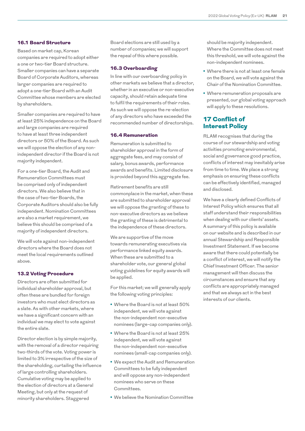## 16.1 Board Structure

Based on market cap, Korean companies are required to adopt either a one or two-tier Board structure. Smaller companies can have a separate Board of Corporate Auditors, whereas larger companies are required to adopt a one-tier Board with an Audit Committee whose members are elected by shareholders.

Smaller companies are required to have at least 25% independence on the Board and large companies are required to have at least three independent directors or 50% of the Board. As such we will oppose the election of any nonindependent director if the Board is not majority independent.

For a one-tier Board, the Audit and Remuneration Committees must be comprised only of independent directors. We also believe that in the case of two-tier Boards, the Corporate Auditors should also be fully independent. Nomination Committees are also a market requirement, we believe this should be comprised of a majority of independent directors.

We will vote against non-independent directors where the Board does not meet the local requirements outlined above.

#### 13.2 Voting Procedure

Directors are often submitted for individual shareholder approval, but often these are bundled for foreign investors who must elect directors as a slate. As with other markets, where we have a significant concern with an individual we may elect to vote against the entire slate.

Director election is by simple majority, with the removal of a director requiring two-thirds of the vote. Voting power is limited to 3% irrespective of the size of the shareholding, curtailing the influence of large controlling shareholders. Cumulative voting may be applied to the election of directors at a General Meeting, but only at the request of minority shareholders. Staggered

Board elections are still used by a number of companies; we will support the repeal of this where possible.

#### 16.3 Overboarding

In line with our overboarding policy in other markets we believe that a director, whether in an executive or non-executive capacity, should retain adequate time to fulfil the requirements of their roles. As such we will oppose the re-election of any directors who have exceeded the recommended number of directorships.

#### 16.4 Remuneration

Remuneration is submitted to shareholder approval in the form of aggregate fees, and may consist of salary, bonus awards, performance awards and benefits. Limited disclosure is provided beyond this aggregate fee.

Retirement benefits are still commonplace in the market, when these are submitted to shareholder approval we will oppose the granting of these to non-executive directors as we believe the granting of these is detrimental to the independence of these directors.

We are supportive of the move towards remunerating executives via performance linked equity awards. When these are submitted to a shareholder vote, our general global voting guidelines for equity awards will be applied.

For this market; we will generally apply the following voting principles:

- **•** Where the Board is not at least 50% independent, we will vote against the non-independent non-executive nominees (large-cap companies only).
- **•** Where the Board is not at least 25% independent, we will vote against the non-independent non-executive nominees (small-cap companies only).
- **•** We expect the Audit and Remuneration Committees to be fully independent and will oppose any non-independent nominees who serve on these Committees.
- **•** We believe the Nomination Committee

should be majority independent. Where the Committee does not meet this threshold, we will vote against the non-independent nominees.

- **•** Where there is not at least one female on the Board, we will vote against the Chair of the Nomination Committee.
- **•** Where remuneration proposals are presented, our global voting approach will apply to these resolutions.

## 17 Conflict of Interest Policy

RLAM recognises that during the course of our stewardship and voting activities promoting environmental, social and governance good practice, conflicts of interest may inevitably arise from time to time. We place a strong emphasis on ensuring these conflicts can be effectively identified, managed and disclosed.

We have a clearly defined Conflicts of Interest Policy which ensures that all staff understand their responsibilities when dealing with our clients' assets. A summary of this policy is available on our website and is described in our annual Stewardship and Responsible Investment Statement. If we become aware that there could potentially be a conflict of interest, we will notify the Chief Investment Officer. The senior management will then discuss the circumstances and ensure that any conflicts are appropriately managed and that we always act in the best interests of our clients.